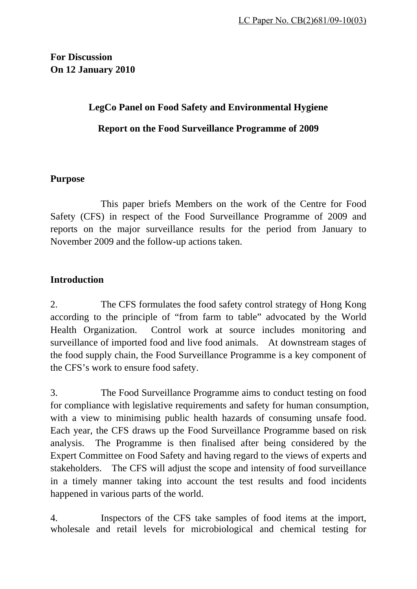# **For Discussion On 12 January 2010**

# **LegCo Panel on Food Safety and Environmental Hygiene Report on the Food Surveillance Programme of 2009**

### **Purpose**

 This paper briefs Members on the work of the Centre for Food Safety (CFS) in respect of the Food Surveillance Programme of 2009 and reports on the major surveillance results for the period from January to November 2009 and the follow-up actions taken.

# **Introduction**

2. The CFS formulates the food safety control strategy of Hong Kong according to the principle of "from farm to table" advocated by the World Health Organization. Control work at source includes monitoring and surveillance of imported food and live food animals. At downstream stages of the food supply chain, the Food Surveillance Programme is a key component of the CFS's work to ensure food safety.

3. The Food Surveillance Programme aims to conduct testing on food for compliance with legislative requirements and safety for human consumption, with a view to minimising public health hazards of consuming unsafe food. Each year, the CFS draws up the Food Surveillance Programme based on risk analysis. The Programme is then finalised after being considered by the Expert Committee on Food Safety and having regard to the views of experts and stakeholders. The CFS will adjust the scope and intensity of food surveillance in a timely manner taking into account the test results and food incidents happened in various parts of the world.

4. Inspectors of the CFS take samples of food items at the import, wholesale and retail levels for microbiological and chemical testing for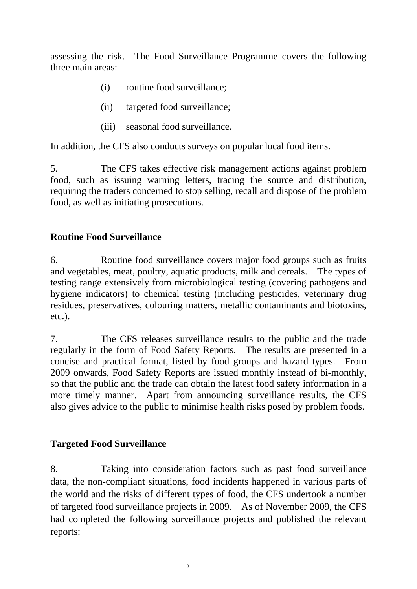assessing the risk. The Food Surveillance Programme covers the following three main areas:

- (i) routine food surveillance;
- (ii) targeted food surveillance;
- (iii) seasonal food surveillance.

In addition, the CFS also conducts surveys on popular local food items.

5. The CFS takes effective risk management actions against problem food, such as issuing warning letters, tracing the source and distribution, requiring the traders concerned to stop selling, recall and dispose of the problem food, as well as initiating prosecutions.

### **Routine Food Surveillance**

6. Routine food surveillance covers major food groups such as fruits and vegetables, meat, poultry, aquatic products, milk and cereals. The types of testing range extensively from microbiological testing (covering pathogens and hygiene indicators) to chemical testing (including pesticides, veterinary drug residues, preservatives, colouring matters, metallic contaminants and biotoxins, etc.).

7. The CFS releases surveillance results to the public and the trade regularly in the form of Food Safety Reports. The results are presented in a concise and practical format, listed by food groups and hazard types. From 2009 onwards, Food Safety Reports are issued monthly instead of bi-monthly, so that the public and the trade can obtain the latest food safety information in a more timely manner. Apart from announcing surveillance results, the CFS also gives advice to the public to minimise health risks posed by problem foods.

## **Targeted Food Surveillance**

8. Taking into consideration factors such as past food surveillance data, the non-compliant situations, food incidents happened in various parts of the world and the risks of different types of food, the CFS undertook a number of targeted food surveillance projects in 2009. As of November 2009, the CFS had completed the following surveillance projects and published the relevant reports: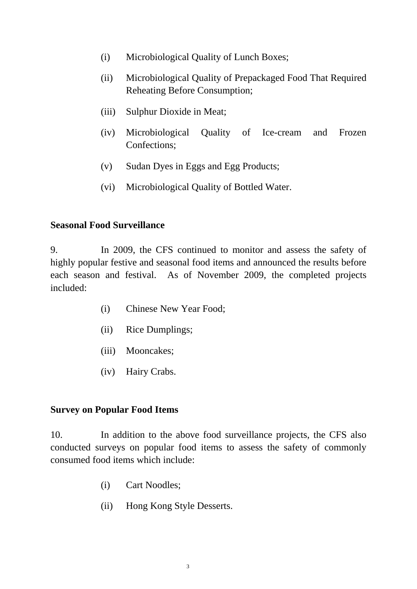- (i) Microbiological Quality of Lunch Boxes;
- (ii) Microbiological Quality of Prepackaged Food That Required Reheating Before Consumption;
- (iii) Sulphur Dioxide in Meat;
- (iv) Microbiological Quality of Ice-cream and Frozen Confections;
- (v) Sudan Dyes in Eggs and Egg Products;
- (vi) Microbiological Quality of Bottled Water.

#### **Seasonal Food Surveillance**

9. In 2009, the CFS continued to monitor and assess the safety of highly popular festive and seasonal food items and announced the results before each season and festival. As of November 2009, the completed projects included:

- (i) Chinese New Year Food;
- (ii) Rice Dumplings;
- (iii) Mooncakes;
- (iv) Hairy Crabs.

#### **Survey on Popular Food Items**

10. In addition to the above food surveillance projects, the CFS also conducted surveys on popular food items to assess the safety of commonly consumed food items which include:

- (i) Cart Noodles;
- (ii) Hong Kong Style Desserts.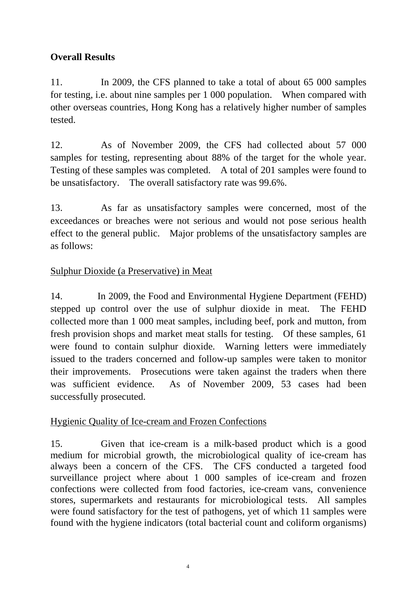# **Overall Results**

11. In 2009, the CFS planned to take a total of about 65 000 samples for testing, i.e. about nine samples per 1 000 population. When compared with other overseas countries, Hong Kong has a relatively higher number of samples tested.

12. As of November 2009, the CFS had collected about 57 000 samples for testing, representing about 88% of the target for the whole year. Testing of these samples was completed. A total of 201 samples were found to be unsatisfactory. The overall satisfactory rate was 99.6%.

13. As far as unsatisfactory samples were concerned, most of the exceedances or breaches were not serious and would not pose serious health effect to the general public. Major problems of the unsatisfactory samples are as follows:

## Sulphur Dioxide (a Preservative) in Meat

14. In 2009, the Food and Environmental Hygiene Department (FEHD) stepped up control over the use of sulphur dioxide in meat. The FEHD collected more than 1 000 meat samples, including beef, pork and mutton, from fresh provision shops and market meat stalls for testing. Of these samples, 61 were found to contain sulphur dioxide. Warning letters were immediately issued to the traders concerned and follow-up samples were taken to monitor their improvements. Prosecutions were taken against the traders when there was sufficient evidence. As of November 2009, 53 cases had been successfully prosecuted.

## Hygienic Quality of Ice-cream and Frozen Confections

15. Given that ice-cream is a milk-based product which is a good medium for microbial growth, the microbiological quality of ice-cream has always been a concern of the CFS. The CFS conducted a targeted food surveillance project where about 1 000 samples of ice-cream and frozen confections were collected from food factories, ice-cream vans, convenience stores, supermarkets and restaurants for microbiological tests. All samples were found satisfactory for the test of pathogens, yet of which 11 samples were found with the hygiene indicators (total bacterial count and coliform organisms)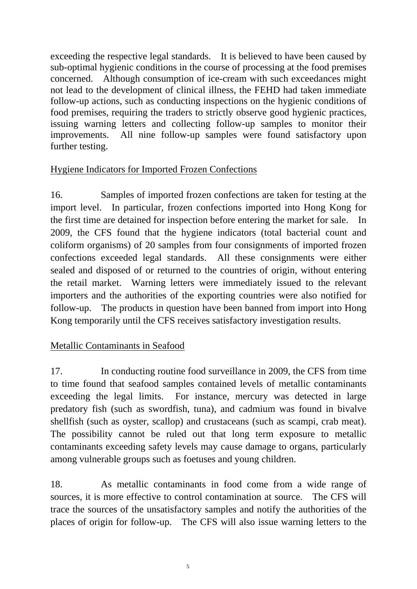exceeding the respective legal standards. It is believed to have been caused by sub-optimal hygienic conditions in the course of processing at the food premises concerned. Although consumption of ice-cream with such exceedances might not lead to the development of clinical illness, the FEHD had taken immediate follow-up actions, such as conducting inspections on the hygienic conditions of food premises, requiring the traders to strictly observe good hygienic practices, issuing warning letters and collecting follow-up samples to monitor their improvements. All nine follow-up samples were found satisfactory upon further testing.

# Hygiene Indicators for Imported Frozen Confections

16. Samples of imported frozen confections are taken for testing at the import level. In particular, frozen confections imported into Hong Kong for the first time are detained for inspection before entering the market for sale. In 2009, the CFS found that the hygiene indicators (total bacterial count and coliform organisms) of 20 samples from four consignments of imported frozen confections exceeded legal standards. All these consignments were either sealed and disposed of or returned to the countries of origin, without entering the retail market. Warning letters were immediately issued to the relevant importers and the authorities of the exporting countries were also notified for follow-up. The products in question have been banned from import into Hong Kong temporarily until the CFS receives satisfactory investigation results.

# Metallic Contaminants in Seafood

17. In conducting routine food surveillance in 2009, the CFS from time to time found that seafood samples contained levels of metallic contaminants exceeding the legal limits. For instance, mercury was detected in large predatory fish (such as swordfish, tuna), and cadmium was found in bivalve shellfish (such as oyster, scallop) and crustaceans (such as scampi, crab meat). The possibility cannot be ruled out that long term exposure to metallic contaminants exceeding safety levels may cause damage to organs, particularly among vulnerable groups such as foetuses and young children.

18. As metallic contaminants in food come from a wide range of sources, it is more effective to control contamination at source. The CFS will trace the sources of the unsatisfactory samples and notify the authorities of the places of origin for follow-up. The CFS will also issue warning letters to the